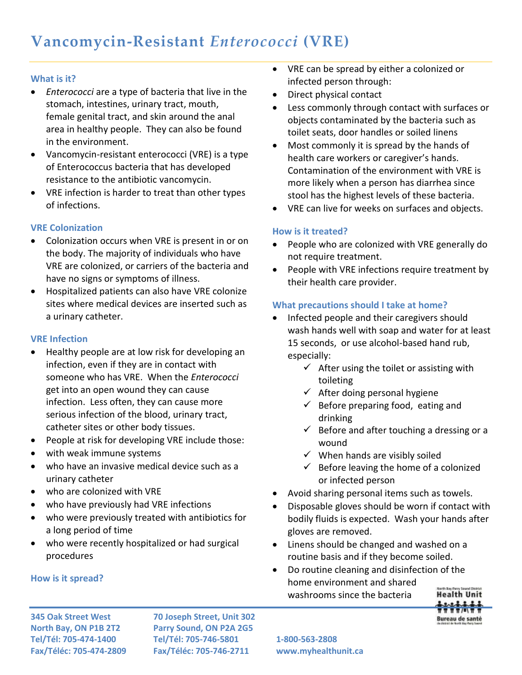#### **What is it?**

- *Enterococci* are a type of bacteria that live in the stomach, intestines, urinary tract, mouth, female genital tract, and skin around the anal area in healthy people. They can also be found in the environment.
- Vancomycin-resistant enterococci (VRE) is a type of Enterococcus bacteria that has developed resistance to the antibiotic vancomycin.
- VRE infection is harder to treat than other types of infections.

## **VRE Colonization**

- Colonization occurs when VRE is present in or on the body. The majority of individuals who have VRE are colonized, or carriers of the bacteria and have no signs or symptoms of illness.
- Hospitalized patients can also have VRE colonize sites where medical devices are inserted such as a urinary catheter.

### **VRE Infection**

- Healthy people are at low risk for developing an infection, even if they are in contact with someone who has VRE. When the *Enterococci* get into an open wound they can cause infection. Less often, they can cause more serious infection of the blood, urinary tract, catheter sites or other body tissues.
- People at risk for developing VRE include those:
- with weak immune systems
- who have an invasive medical device such as a urinary catheter
- who are colonized with VRE
- who have previously had VRE infections
- who were previously treated with antibiotics for a long period of time
- who were recently hospitalized or had surgical procedures

#### **How is it spread?**

 VRE can be spread by either a colonized or infected person through:

- Direct physical contact
- Less commonly through contact with surfaces or objects contaminated by the bacteria such as toilet seats, door handles or soiled linens
- Most commonly it is spread by the hands of health care workers or caregiver's hands. Contamination of the environment with VRE is more likely when a person has diarrhea since stool has the highest levels of these bacteria.
- VRE can live for weeks on surfaces and objects.

## **How is it treated?**

- People who are colonized with VRE generally do not require treatment.
- People with VRE infections require treatment by their health care provider.

# **What precautions should I take at home?**

- Infected people and their caregivers should wash hands well with soap and water for at least 15 seconds, or use alcohol-based hand rub, especially:
	- $\checkmark$  After using the toilet or assisting with toileting
	- $\checkmark$  After doing personal hygiene
	- $\checkmark$  Before preparing food, eating and drinking
	- $\checkmark$  Before and after touching a dressing or a wound
	- $\checkmark$  When hands are visibly soiled
	- $\checkmark$  Before leaving the home of a colonized or infected person
- Avoid sharing personal items such as towels.
- Disposable gloves should be worn if contact with bodily fluids is expected. Wash your hands after gloves are removed.
- Linens should be changed and washed on a routine basis and if they become soiled.
- Do routine cleaning and disinfection of the home environment and shared washrooms since the bacteria



**345 Oak Street West 70 Joseph Street, Unit 302 North Bay, ON P1B 2T2 Parry Sound, ON P2A 2G5 Tel/Tél: 705-474-1400 Tel/Tél: 705-746-5801 1-800-563-2808 Fax/Téléc: 705-474-2809 Fax/Téléc: 705-746-2711 www.myhealthunit.ca**